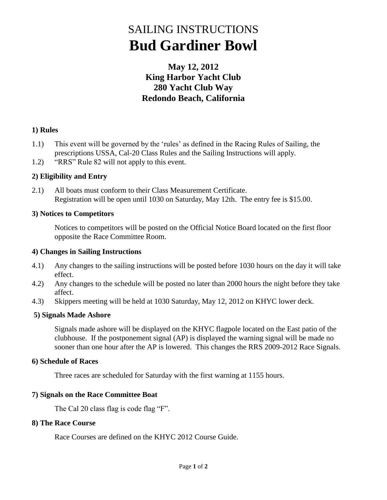# SAILING INSTRUCTIONS **Bud Gardiner Bowl**

### **May 12, 2012 King Harbor Yacht Club 280 Yacht Club Way Redondo Beach, California**

### **1) Rules**

- 1.1) This event will be governed by the 'rules' as defined in the Racing Rules of Sailing, the prescriptions USSA, Cal-20 Class Rules and the Sailing Instructions will apply.
- 1.2) "RRS" Rule 82 will not apply to this event.

### **2) Eligibility and Entry**

2.1) All boats must conform to their Class Measurement Certificate. Registration will be open until 1030 on Saturday, May 12th. The entry fee is \$15.00.

### **3) Notices to Competitors**

Notices to competitors will be posted on the Official Notice Board located on the first floor opposite the Race Committee Room.

### **4) Changes in Sailing Instructions**

- 4.1) Any changes to the sailing instructions will be posted before 1030 hours on the day it will take effect.
- 4.2) Any changes to the schedule will be posted no later than 2000 hours the night before they take affect.
- 4.3) Skippers meeting will be held at 1030 Saturday, May 12, 2012 on KHYC lower deck.

### **5) Signals Made Ashore**

Signals made ashore will be displayed on the KHYC flagpole located on the East patio of the clubhouse. If the postponement signal (AP) is displayed the warning signal will be made no sooner than one hour after the AP is lowered. This changes the RRS 2009-2012 Race Signals.

### **6) Schedule of Races**

Three races are scheduled for Saturday with the first warning at 1155 hours.

#### **7) Signals on the Race Committee Boat** Ĵ

The Cal 20 class flag is code flag "F".

### **8) The Race Course**

Race Courses are defined on the KHYC 2012 Course Guide.